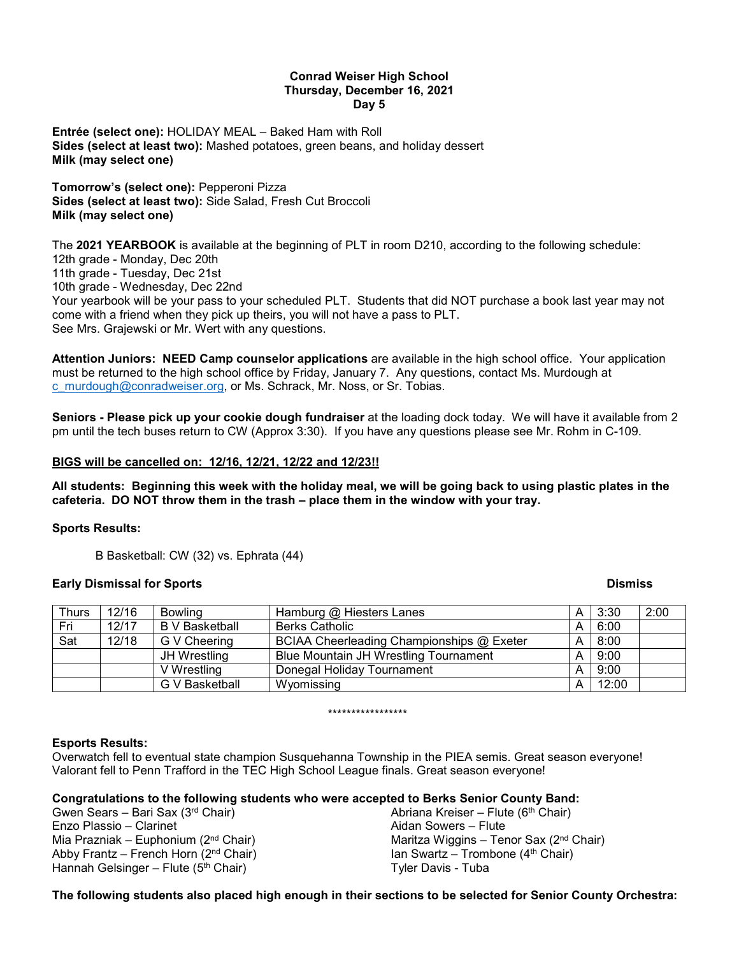### **Conrad Weiser High School Thursday, December 16, 2021 Day 5**

**Entrée (select one):** HOLIDAY MEAL – Baked Ham with Roll **Sides (select at least two):** Mashed potatoes, green beans, and holiday dessert **Milk (may select one)**

**Tomorrow's (select one):** Pepperoni Pizza **Sides (select at least two):** Side Salad, Fresh Cut Broccoli **Milk (may select one)**

The **2021 YEARBOOK** is available at the beginning of PLT in room D210, according to the following schedule: 12th grade - Monday, Dec 20th

11th grade - Tuesday, Dec 21st

10th grade - Wednesday, Dec 22nd

Your yearbook will be your pass to your scheduled PLT. Students that did NOT purchase a book last year may not come with a friend when they pick up theirs, you will not have a pass to PLT. See Mrs. Grajewski or Mr. Wert with any questions.

**Attention Juniors: NEED Camp counselor applications** are available in the high school office. Your application must be returned to the high school office by Friday, January 7. Any questions, contact Ms. Murdough at [c\\_murdough@conradweiser.org,](mailto:c_murdough@conradweiser.org) or Ms. Schrack, Mr. Noss, or Sr. Tobias.

**Seniors - Please pick up your cookie dough fundraiser** at the loading dock today. We will have it available from 2 pm until the tech buses return to CW (Approx 3:30). If you have any questions please see Mr. Rohm in C-109.

## **BIGS will be cancelled on: 12/16, 12/21, 12/22 and 12/23!!**

**All students: Beginning this week with the holiday meal, we will be going back to using plastic plates in the cafeteria. DO NOT throw them in the trash – place them in the window with your tray.**

## **Sports Results:**

B Basketball: CW (32) vs. Ephrata (44)

## **Early Dismissal for Sports Dismiss**

| <b>Thurs</b> | 12/16 | <b>Bowling</b>        | Hamburg @ Hiesters Lanes                     | A | 3:30  | 2:00 |
|--------------|-------|-----------------------|----------------------------------------------|---|-------|------|
| Fri          | 12/17 | <b>B</b> V Basketball | <b>Berks Catholic</b>                        | A | 6:00  |      |
| Sat          | 12/18 | G V Cheering          | BCIAA Cheerleading Championships @ Exeter    |   | 8:00  |      |
|              |       | JH Wrestling          | <b>Blue Mountain JH Wrestling Tournament</b> |   | 9:00  |      |
|              |       | V Wrestling           | Donegal Holiday Tournament                   |   | 9:00  |      |
|              |       | G V Basketball        | Wyomissing                                   | A | 12:00 |      |

\*\*\*\*\*\*\*\*\*\*\*\*\*\*\*\*\*

## **Esports Results:**

Overwatch fell to eventual state champion Susquehanna Township in the PIEA semis. Great season everyone! Valorant fell to Penn Trafford in the TEC High School League finals. Great season everyone!

## **Congratulations to the following students who were accepted to Berks Senior County Band:**

Gwen Sears – Bari Sax (3rd Chair) Enzo Plassio – Clarinet Mia Prazniak – Euphonium ( $2<sup>nd</sup>$  Chair) Abby Frantz – French Horn  $(2^{nd}$  Chair) Hannah Gelsinger – Flute (5<sup>th</sup> Chair)

Abriana Kreiser – Flute (6<sup>th</sup> Chair) Aidan Sowers – Flute Maritza Wiggins – Tenor Sax (2<sup>nd</sup> Chair) Ian Swartz – Trombone  $(4<sup>th</sup> Chair)$ Tyler Davis - Tuba

## **The following students also placed high enough in their sections to be selected for Senior County Orchestra:**